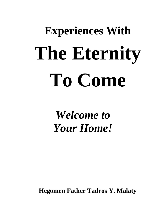# **Experiences With The Eternity To Come**

*Welcome to Your Home!*

**Hegomen Father Tadros Y. Malaty**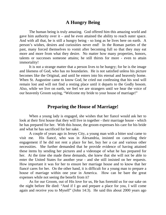## **A Hungry Being**

The human being is truly amazing. God offered him this amazing world and gave him authority over it – and he even attained the ability to reach outer space. And with all that, he is still a hungry being - so long as he lives here on earth. A person's wishes, desires and curiosities never end! In the Roman parties of the past, many forced themselves to vomit after becoming full so that they may eat more and more from what they desire. No matter how many properties, honors, talents or successes someone attains; he still thirsts for more - even to attain immortality!

It is not a strange matter that a person lives to be hungry; for he is the image and likeness of God, who has no boundaries. He is not satisfied unless his picture becomes like the Original, and until he enters into his eternal and heavenly home. When St. Augustine came to know God, he cried out confessing that his soul will remain lost and will not find a resting place until it departs to the Godly bosom. Also, while we live on earth, we feel we are strangers until we hear the voice of our heavenly Groom saying, "Welcome my bride to your house of marriage!"

#### **Preparing the House of Marriage!**

When a young lady is engaged, she wishes that her fiancé would ask her to look at their first house that they will live in together - their marriage house - which he has prepared for her. With this house, the groom expresses his care for his bride and what he has sacrificed for her sake.

A couple of years ago in Jersey City, a young man with a bitter soul came to visit me. His fiancé, who was in Alexandria, insisted on canceling their engagement if he did not rent a place for her, buy her a car and various other necessities. She further demanded that he provide evidence of having attained these items by sending her pictures and a videotape of what he has prepared for her. At the time she made these demands, she knew that she will not be able to enter the United States for another year - and she still insisted on her requests. How important it was for her to ensure her marriage house and to know that her fiancé cares for her. On the other hand, it is difficult for a young man to prepare a house of marriage within one year in America. How can he bare the great expenses while not seeing the benefit from it?

As for our Groom, out of His love for us, He has foretold us for our sake on the night before He died: "And if I go and prepare a place for you, I will come again and receive you to Myself" (John 14:3). He said this about 2000 years ago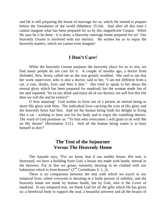and He is still preparing the house of marriage for us, which He started to prepare before the foundation of the world (Matthew 25:34). And after all this time I cannot imagine what has been prepared for us by this magnificent Creator. When He says let it be done - it is done; a heavenly marriage home prepared for us! Our heavenly Groom is involved with our eternity. He wishes for us to enjoy the heavenly matters, which we cannot even imagine!

## **I Don't Care!**

While the heavenly Groom prepares the heavenly place for us to rest, we find many people do not care for it. A couple of months ago, a doctor from Holmdel, New Jersey called me as she was greatly troubled. She said to me that her work supervisor, who is also a doctor, said to her, "I am not different from a cat: it eats, drinks, lives and then it dies." She tried to speak to her about the eternal glory which has been prepared for mankind; but the woman made fun of her and repeated, "let us eat, drink and enjoy all of our desires; we will live this life then we will die and be extinct!"

O how amazing! God wishes to form out of a person an eternal being to share His glory with Him. The individual lives carrying the icon of His glory and the heavenly hosts hail him. And yet the human being finds his delight in living like a cat - wishing to have rest for his body and to enjoy the vanishing desires. The word of God promises us: "To him who overcomes I will grant to sit with Me on My throne" (Revelation 3:21). And all the human being wants is to bury himself in dirt!?

## **The Tent of the Sojourner Versus The Heavenly Home**

The Apostle says, "For we know that if our earthly house, *this* tent, is destroyed, we have a building from God, a house not made with hands, eternal in the heavens. For in this we groan, earnestly desiring to be clothed with our habitation which is from heaven"  $(2<sup>nd</sup>$  Corinthians 5: 1, 2).

There is no comparison between the tent with which we travel in our temporal lives, where everyone is shouting in a futile pursuit of stability, and the heavenly home not made by human hands, but by God, who is the Lover of mankind. In our temporal tent, we thank God for all the gifts which He has given us: a beneficial body to support the soul, a beautiful universe and all the beauty of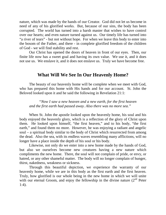nature, which was made by the hands of our Creator. God did not let us become in need of any of his glorified works. But, because of our sins, the body has been corrupted. The world has turned into a harsh master that wishes to have control over our hearts; and even nature turned against us. Our timely life has turned into "a river of tears" - but not without hope. For when we leave this body to enter into the bosom of the Father, and there - in complete glorified freedom of the children of God - we will find stability and rest.

Our Christ has opened the doors of heaven in front of our eyes. Then, our finite life now has a sweet goal and having its own value. We use it, and it does not use us. We enslave it, and it does not enslave us. Truly we have become free.

## **What Will We See In Our Heavenly Home?**

The beauty of our heavenly home will be complete when we meet with God, who has prepared this home with His hands and for our account. St. John the Beloved looked upon it and he said the following in Revelation 21:1:

*"Now I saw a new heaven and a new earth, for the first heaven and the first earth had passed away. Also there was no more sea."*

When St. John the apostle looked upon the heavenly home, his soul and his body enjoyed the heavenly glory, which is a reflection of the glory of Christ upon them. He looked upon himself, "the first heaven," and to his body, "the first earth," and found them no more. However, he was enjoying a radiant and angelic soul – a spiritual body similar to the body of Christ which resurrected from among the dead. Also the sea, with its endless waves resembling many afflictions, will no longer have a place inside the depth of his soul or his body.

Likewise, not only do we enter into a new home made by the hands of God, but also we ourselves become new creatures having a new nature which compliments the new home. There, the soul will not complain of pride, or envy, or hatred, or any other shameful matter. The body will no longer complain of hunger, thirst, nakedness, weakness or sickness.

Through this beautiful depiction, we experience the warranty of our heavenly home, while we are in this body as the first earth and the first heaven. Truly, how glorified is our whole being in the new home in which we will unite with our eternal Groom, and enjoy the fellowship in the divine nature  $(2^{nd}$  Peter 1:4).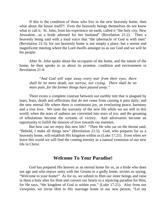If this is the condition of those who live in the new heavenly home, then what about the house itself?! Even the heavenly beings themselves do not know what to call it. St. John, from his experience on earth, called it "the holy city, New Jerusalem…as a bride adorned for her husband" (Revelation 21:2). Then a heavenly being said with a loud voice that "the tabernacle of God is with men" (Revelation 21:3); for our heavenly home is not simply a place, but a serene and magnificent meeting where the Lord dwells amongst us as our God and we will be his people.

After St. John spoke about the occupants of the home, and the nature of the home; he then speaks to us about its promise, condition and environment in Revelation 21:4:

*"And God will wipe away every tear from their eyes; there shall be no more death, nor sorrow, nor crying. There shall be no more pain, for the former things have passed away."*

There exists a complete contrast between our earthly tent that is plagued by tears, fears, death and afflictions that do not cease from causing it pain daily; and the new eternal life where there is continuous joy, an everlasting peace, harmony and a true love. We taste the warranty of the new life while we are still in this world, when the tears of sadness are converted into tears of joy; and the groaning of tribulations become the screams of victory. And adversaries become an opportunity to fulfill the mission of love towards our enemies.

But how can we enjoy this new life? "Then He who sat on the throne said, "Behold, I make all things new" (Revelation 21:5). God, who prepares for us a heavenly home, will establish His kingdom within us (Luke 17:21). Even when we leave this world we will find the coming eternity as a natural extension of our new life in Christ.

#### **Welcome To Your Paradise!**

God has prepared His heaven as an eternal home for us, as a bride who does not age and who enjoys unity with her Groom in a godly home, invites us saying, "Welcome to your home!" As for us, we submit to Him our inner beings and raise in them a holy alter for Him and convert our hearts to a rejoicing paradise for Him, for He says, "the kingdom of God is within you." (Luke 17:21). Also from our viewpoint, we invite Him to His marriage home in our new person, "Let my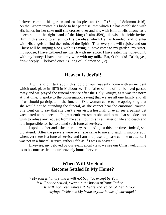beloved come to his garden and eat its pleasant fruits" (Song of Solomon 4:16). As the Groom invites his bride to her paradise, that which He has established with His hands for her sake until she crosses over and sits with Him on His throne, as a queen sits on the right hand of the king (Psalm 45:9), likewise the bride invites Him in this world to enter into His paradise, which He has founded, and to enter with His angels to find the fruits of the Spirit. Then everyone will rejoice and our Christ will be singing along with us saying, "I have come to my garden, my sister, my spouse; I have gathered my myrrh with my spice; I have eaten my honeycomb with my honey; I have drunk my wine with my milk. Eat, O friends! Drink, yes, drink deeply, O beloved ones!" (Song of Solomon 5:1, 2)

#### **Heaven Is Joyful!**

I will end our talk about this topic of our heavenly home with an incident which took place in 1975 in Melbourne. The father of one of our beloved passed away and we prayed the funeral service after the Holy Liturgy, as it was the norm at that time. I spoke to the congregation saying that we are all one family and all of us should participate in the funeral. One woman came to me apologizing that she would not be attending the funeral, as she cannot bear the emotional trauma. She went on to say that she can't even visit a hospital, or even see a patient get vaccinated with a needle. In great embarrassment she said to me that she does not wish to refuse any request from me at all, but this is a matter of life and death and it is impossible for her to attend such funeral services.

I spoke to her and asked her to try to attend - just this one time. Indeed, she did attend. After the prayers were over, she came to me and said, "I implore you, whenever there is a funeral service and I am not present, please call me to attend. I was not in a funeral service, rather I felt as if I was in heaven!"

Likewise, my beloved by our evangelical view, we see our Christ welcoming us to become settled in our heavenly home forever.

# **When Will My Soul Become Settled In My Home?**

**†** *My soul is hungry and it will not be filled except by You. It will not be settled, except in the bosom of Your Father. It will not rest, unless it hears the voice of her Groom saying: "Welcome My bride to your house of marriage!"*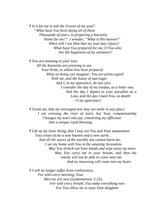**†** *Is it for me to ask the Groom of my soul? "What have You been doing all of these Thousands of years, in preparing a heavenly Home for me?" I wonder, "What is His heaven!" When will I see Him that my soul may rejoice! What have You prepared for me, O You who Are the happiness of my salvation?*

**†** *You are amazing in your love.*

*All the heavenly are yearning to see Your bride, to whom You have prepared What no being can imagine! You are preoccupied With me, and the house of marriage! And I, in my ignorance, do not care. I consider the day of my exodus, as a bitter one, And the day I depart to your paradise as a Loss, and the day I meet You, as death! O my ignorance!*

**†** *Grant me, that my estranged tent may not settle in any place. I am crossing the river of tears, but Your companionship Changes my tears into joy, converting my affliction Into a unique royal blessing.*

**†** *Lift up my inner being, that I may see You and Your amazement. You create of me a new heaven and a new earth, And all the waves of the worldly sea cannot harm me. I see my home with You in the amazing Jerusalem. May You stretch out Your hands and wipe away my tears. May You carry me in your bosom, and then the enemy will not be able to come near me, And no mourning will come into my heart.*

**†** *I will no longer suffer from restlessness, For with every morning, Your Mercies are new (Lamentations 3:23), For with every breath, You make everything new. For You allow me to taste Your kingdom*